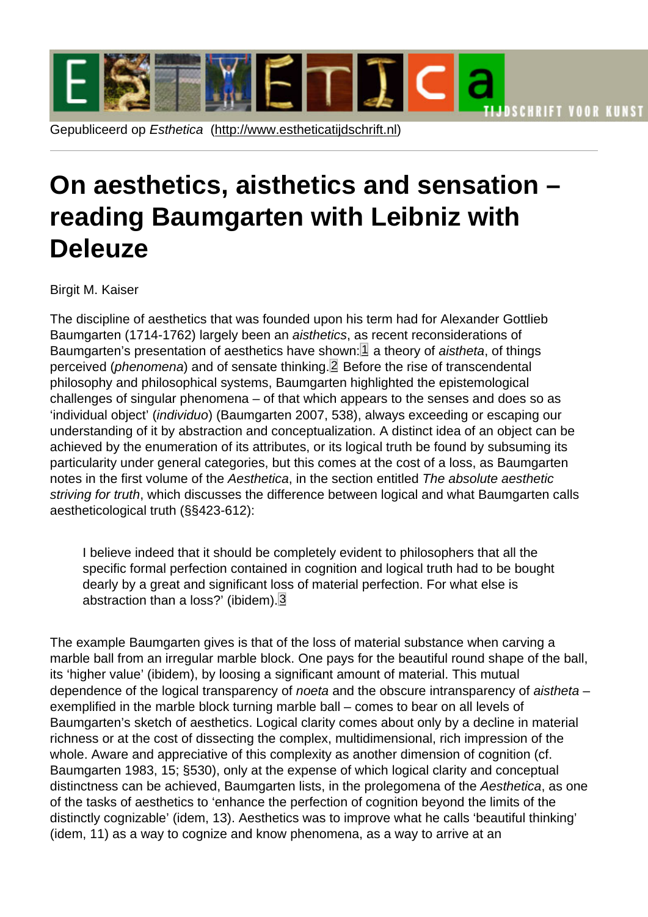## <span id="page-0-0"></span>On aesthetics[, aisthetics and s](http://www.estheticatijdschrift.nl)ensation – reading Baumgarten with Leibniz with **Deleuze**

## Birgit M. Kaiser

The discipline of aesthetics that was founded upon his term had for Alexander Gottlieb Baumgarten (1714-1762) largely been an aisthetics, as recent reconsiderations of Baumgarten's presentation of aesthetics have shown: $\mathbb{1}$  a theory of aistheta, of things perceived (phenomena) and of sensate thinking. $2$  Before the rise of transcendental philosophy and philosophical systems, Baumgarten highlighted the epistemological challenges of singular phenomena – of that which appears to the senses and does so as 'individual object' (individuo) (Baumgarten 2007, 538), always exceeding or escaping our understanding of it by abstraction and conceptualization. A distinct idea of an object can be achieved by the enumeration of its attributes, or its logical truth be found by subsuming its particularity under general categories, but this comes at the cost of a loss, as Baumgarten notes in the first volume of the Aesthetica, in the section entitled The absolute aesthetic striving for truth, which discusses the difference between logical and what Baumgarten calls aestheticological truth (§§423-612):

I believe indeed that it should be completely evident to philosophers that all the specific formal perfection contained in cognition and logical truth had to be bought dearly by a great and significant loss of material perfection. For what else is abstraction than a loss?' (ibidem). 3

The example Baumgarten gives is that of the loss of material substance when carving a marble ball from an irregular marble block. One pays for the beautiful round shape of the ball, its 'higher value' (ibidem), by loosing a significant amount of material. This mutual dependence of the logical transparency of noeta and the obscure intransparency of aistheta – exemplified in the marble block turning marble ball – comes to bear on all levels of Baumgarten's sketch of aesthetics. Logical clarity comes about only by a decline in material richness or at the cost of dissecting the complex, multidimensional, rich impression of the whole. Aware and appreciative of this complexity as another dimension of cognition (cf. Baumgarten 1983, 15; §530), only at the expense of which logical clarity and conceptual distinctness can be achieved, Baumgarten lists, in the prolegomena of the Aesthetica, as one of the tasks of aesthetics to 'enhance the perfection of cognition beyond the limits of the distinctly cognizable' (idem, 13). Aesthetics was to improve what he calls 'beautiful thinking' (idem, 11) as a way to cognize and know phenomena, as a way to arrive at an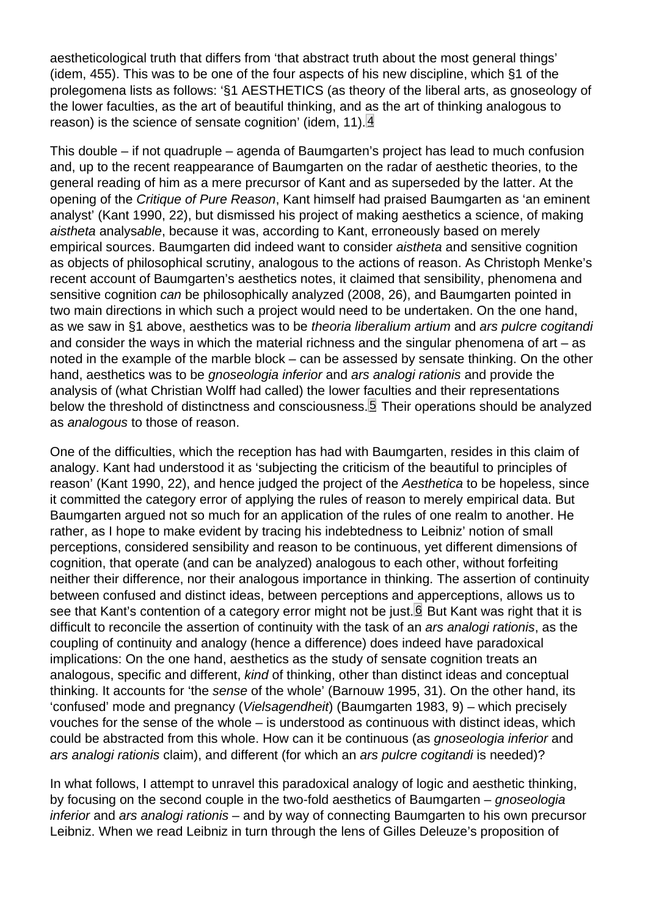<span id="page-1-0"></span>aestheticological truth that differs from 'that abstract truth about the most general things' (idem, 455). This was to be one of the four aspects of his new discipline, which §1 of the prolegomena lists as follows: '§1 AESTHETICS (as theory of the liberal arts, as gnoseology of the lower faculties, as the art of beautiful thinking, and as the art of thinking analogous to reason) is the science of sensate cognition' (idem, 11).<sup>[4]</sup>

This double – if not quadruple – agenda of Baumgarten's project has lead to much confusion and, up to the recent reappearance of Baumgarten on the radar of aesthetic theories, to the general reading of him as a mere precursor of Kant and as superseded by the latter. At the opening of the Critique of Pure Reason, Kant himself had praised Baumgarten as 'an eminent analyst' (Kant 1990, 22), but dismissed his project of making aesthetics a science, of making aistheta analysable, because it was, according to Kant, erroneously based on merely empirical sources. Baumgarten did indeed want to consider aistheta and sensitive cognition as objects of philosophical scrutiny, analogous to the actions of reason. As Christoph Menke's recent account of Baumgarten's aesthetics notes, it claimed that sensibility, phenomena and sensitive cognition can be philosophically analyzed (2008, 26), and Baumgarten pointed in two main directions in which such a project would need to be undertaken. On the one hand, as we saw in §1 above, aesthetics was to be theoria liberalium artium and ars pulcre cogitandi and consider the ways in which the material richness and the singular phenomena of art – as noted in the example of the marble block – can be assessed by sensate thinking. On the other hand, aesthetics was to be gnoseologia inferior and ars analogi rationis and provide the analysis of (what Christian Wolff had called) the lower faculties and their representations below the threshold of distinctness and consciousness.<sup>[5]</sup> Their operations should be analyzed as analogous to those of reason.

One of the difficulties, which the reception has had with Baumgarten, resides in this claim of analogy. Kant had understood it as 'subjecting the criticism of the beautiful to principles of reason' (Kant 1990, 22), and hence judged the project of the Aesthetica to be hopeless, since it committed the category error of applying the rules of reason to merely empirical data. But Baumgarten argued not so much for an application of the rules of one realm to another. He rather, as I hope to make evident by tracing his indebtedness to Leibniz' notion of small perceptions, considered sensibility and reason to be continuous, yet different dimensions of cognition, that operate (and can be analyzed) analogous to each other, without forfeiting neither their difference, nor their analogous importance in thinking. The assertion of continuity between confused and distinct ideas, between perceptions and apperceptions, allows us to see that Kant's contention of a category error might not be just. **6** But Kant was right that it is difficult to reconcile the assertion of continuity with the task of an ars analogi rationis, as the coupling of continuity and analogy (hence a difference) does indeed have paradoxical implications: On the one hand, aesthetics as the study of sensate cognition treats an analogous, specific and different, kind of thinking, other than distinct ideas and conceptual thinking. It accounts for 'the sense of the whole' (Barnouw 1995, 31). On the other hand, its 'confused' mode and pregnancy (Vielsagendheit) (Baumgarten 1983, 9) – which precisely vouches for the sense of the whole – is understood as continuous with distinct ideas, which could be abstracted from this whole. How can it be continuous (as gnoseologia inferior and ars analogi rationis claim), and different (for which an ars pulcre cogitandi is needed)?

In what follows, I attempt to unravel this paradoxical analogy of logic and aesthetic thinking, by focusing on the second couple in the two-fold aesthetics of Baumgarten – gnoseologia inferior and ars analogi rationis – and by way of connecting Baumgarten to his own precursor Leibniz. When we read Leibniz in turn through the lens of Gilles Deleuze's proposition of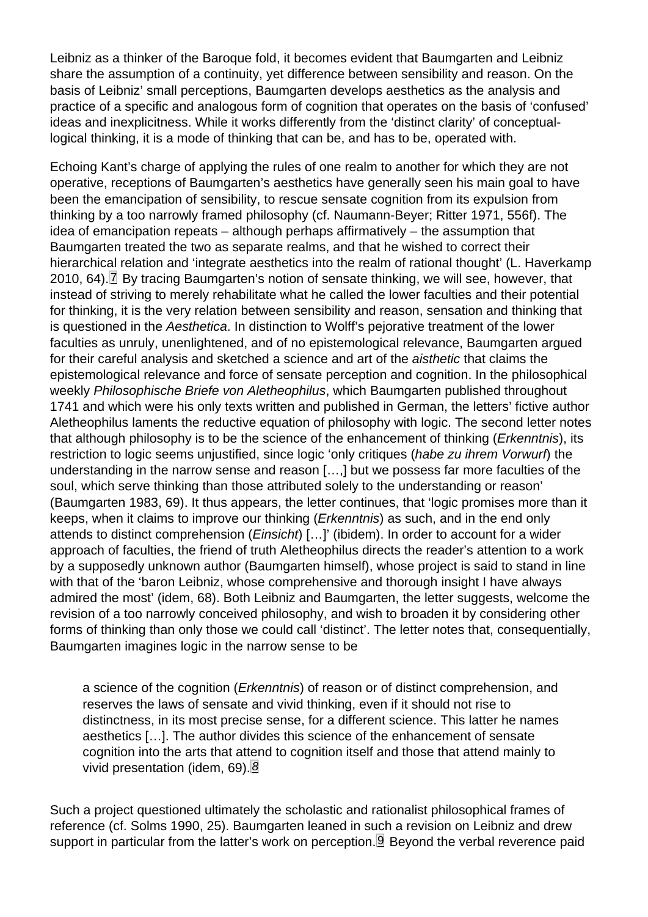<span id="page-2-0"></span>Leibniz as a thinker of the Baroque fold, it becomes evident that Baumgarten and Leibniz share the assumption of a continuity, yet difference between sensibility and reason. On the basis of Leibniz' small perceptions, Baumgarten develops aesthetics as the analysis and practice of a specific and analogous form of cognition that operates on the basis of 'confused' ideas and inexplicitness. While it works differently from the 'distinct clarity' of conceptuallogical thinking, it is a mode of thinking that can be, and has to be, operated with.

Echoing Kant's charge of applying the rules of one realm to another for which they are not operative, receptions of Baumgarten's aesthetics have generally seen his main goal to have been the emancipation of sensibility, to rescue sensate cognition from its expulsion from thinking by a too narrowly framed philosophy (cf. Naumann-Beyer; Ritter 1971, 556f). The idea of emancipation repeats – although perhaps affirmatively – the assumption that Baumgarten treated the two as separate realms, and that he wished to correct their hierarchical relation and 'integrate aesthetics into the realm of rational thought' (L. Haverkamp 2010, 64). <sup>[2]</sup> By tracing Baumgarten's notion of sensate thinking, we will see, however, that instead of striving to merely rehabilitate what he called the lower faculties and their potential for thinking, it is the very relation between sensibility and reason, sensation and thinking that is questioned in the Aesthetica. In distinction to Wolff's pejorative treatment of the lower faculties as unruly, unenlightened, and of no epistemological relevance, Baumgarten argued for their careful analysis and sketched a science and art of the aisthetic that claims the epistemological relevance and force of sensate perception and cognition. In the philosophical weekly Philosophische Briefe von Aletheophilus, which Baumgarten published throughout 1741 and which were his only texts written and published in German, the letters' fictive author Aletheophilus laments the reductive equation of philosophy with logic. The second letter notes that although philosophy is to be the science of the enhancement of thinking (Erkenntnis), its restriction to logic seems unjustified, since logic 'only critiques (habe zu ihrem Vorwurf) the understanding in the narrow sense and reason […,] but we possess far more faculties of the soul, which serve thinking than those attributed solely to the understanding or reason' (Baumgarten 1983, 69). It thus appears, the letter continues, that 'logic promises more than it keeps, when it claims to improve our thinking (Erkenntnis) as such, and in the end only attends to distinct comprehension (Einsicht) […]' (ibidem). In order to account for a wider approach of faculties, the friend of truth Aletheophilus directs the reader's attention to a work by a supposedly unknown author (Baumgarten himself), whose project is said to stand in line with that of the 'baron Leibniz, whose comprehensive and thorough insight I have always admired the most' (idem, 68). Both Leibniz and Baumgarten, the letter suggests, welcome the revision of a too narrowly conceived philosophy, and wish to broaden it by considering other forms of thinking than only those we could call 'distinct'. The letter notes that, consequentially, Baumgarten imagines logic in the narrow sense to be

a science of the cognition (Erkenntnis) of reason or of distinct comprehension, and reserves the laws of sensate and vivid thinking, even if it should not rise to distinctness, in its most precise sense, for a different science. This latter he names aesthetics […]. The author divides this science of the enhancement of sensate cognition into the arts that attend to cognition itself and those that attend mainly to vivid presentation (idem, 69).<sup>8</sup>

Such a project questioned ultimately the scholastic and rationalist philosophical frames of reference (cf. Solms 1990, 25). Baumgarten leaned in such a revision on Leibniz and drew support in particular from the latter's work on perception.<sup>[9]</sup> Beyond the verbal reverence paid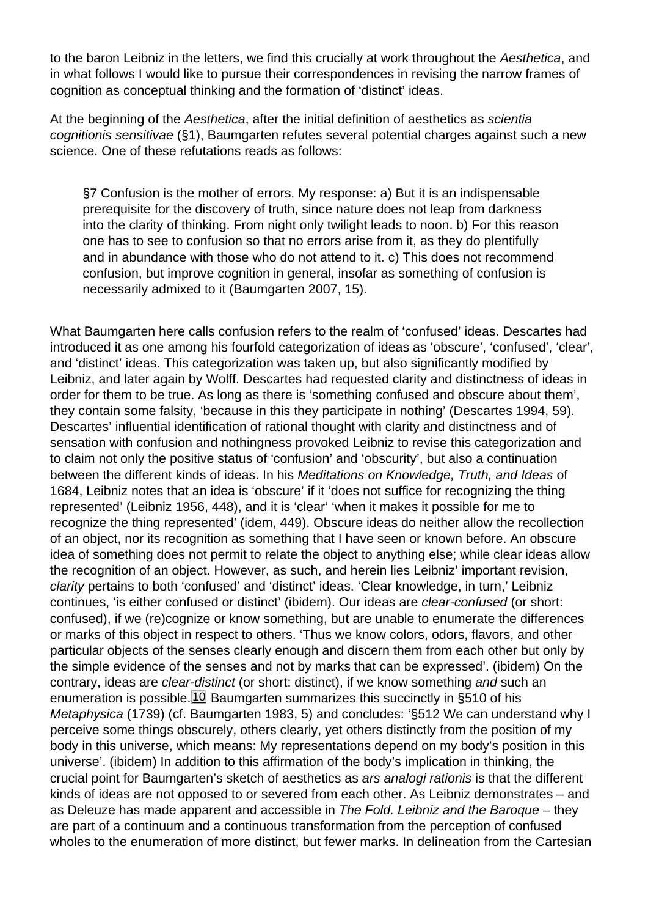<span id="page-3-0"></span>to the baron Leibniz in the letters, we find this crucially at work throughout the Aesthetica, and in what follows I would like to pursue their correspondences in revising the narrow frames of cognition as conceptual thinking and the formation of 'distinct' ideas.

At the beginning of the Aesthetica, after the initial definition of aesthetics as scientia cognitionis sensitivae (§1), Baumgarten refutes several potential charges against such a new science. One of these refutations reads as follows:

§7 Confusion is the mother of errors. My response: a) But it is an indispensable prerequisite for the discovery of truth, since nature does not leap from darkness into the clarity of thinking. From night only twilight leads to noon. b) For this reason one has to see to confusion so that no errors arise from it, as they do plentifully and in abundance with those who do not attend to it. c) This does not recommend confusion, but improve cognition in general, insofar as something of confusion is necessarily admixed to it (Baumgarten 2007, 15).

What Baumgarten here calls confusion refers to the realm of 'confused' ideas. Descartes had introduced it as one among his fourfold categorization of ideas as 'obscure', 'confused', 'clear', and 'distinct' ideas. This categorization was taken up, but also significantly modified by Leibniz, and later again by Wolff. Descartes had requested clarity and distinctness of ideas in order for them to be true. As long as there is 'something confused and obscure about them', they contain some falsity, 'because in this they participate in nothing' (Descartes 1994, 59). Descartes' influential identification of rational thought with clarity and distinctness and of sensation with confusion and nothingness provoked Leibniz to revise this categorization and to claim not only the positive status of 'confusion' and 'obscurity', but also a continuation between the different kinds of ideas. In his Meditations on Knowledge, Truth, and Ideas of 1684, Leibniz notes that an idea is 'obscure' if it 'does not suffice for recognizing the thing represented' (Leibniz 1956, 448), and it is 'clear' 'when it makes it possible for me to recognize the thing represented' (idem, 449). Obscure ideas do neither allow the recollection of an object, nor its recognition as something that I have seen or known before. An obscure idea of something does not permit to relate the object to anything else; while clear ideas allow the recognition of an object. However, as such, and herein lies Leibniz' important revision, clarity pertains to both 'confused' and 'distinct' ideas. 'Clear knowledge, in turn,' Leibniz continues, 'is either confused or distinct' (ibidem). Our ideas are clear-confused (or short: confused), if we (re)cognize or know something, but are unable to enumerate the differences or marks of this object in respect to others. 'Thus we know colors, odors, flavors, and other particular objects of the senses clearly enough and discern them from each other but only by the simple evidence of the senses and not by marks that can be expressed'. (ibidem) On the contrary, ideas are clear-distinct (or short: distinct), if we know something and such an enumeration is possible.  $10$  Baumgarten summarizes this succinctly in §510 of his Metaphysica (1739) (cf. Baumgarten 1983, 5) and concludes: '§512 We can understand why I perceive some things obscurely, others clearly, yet others distinctly from the position of my body in this universe, which means: My representations depend on my body's position in this universe'. (ibidem) In addition to this affirmation of the body's implication in thinking, the crucial point for Baumgarten's sketch of aesthetics as ars analogi rationis is that the different kinds of ideas are not opposed to or severed from each other. As Leibniz demonstrates – and as Deleuze has made apparent and accessible in The Fold. Leibniz and the Baroque – they are part of a continuum and a continuous transformation from the perception of confused wholes to the enumeration of more distinct, but fewer marks. In delineation from the Cartesian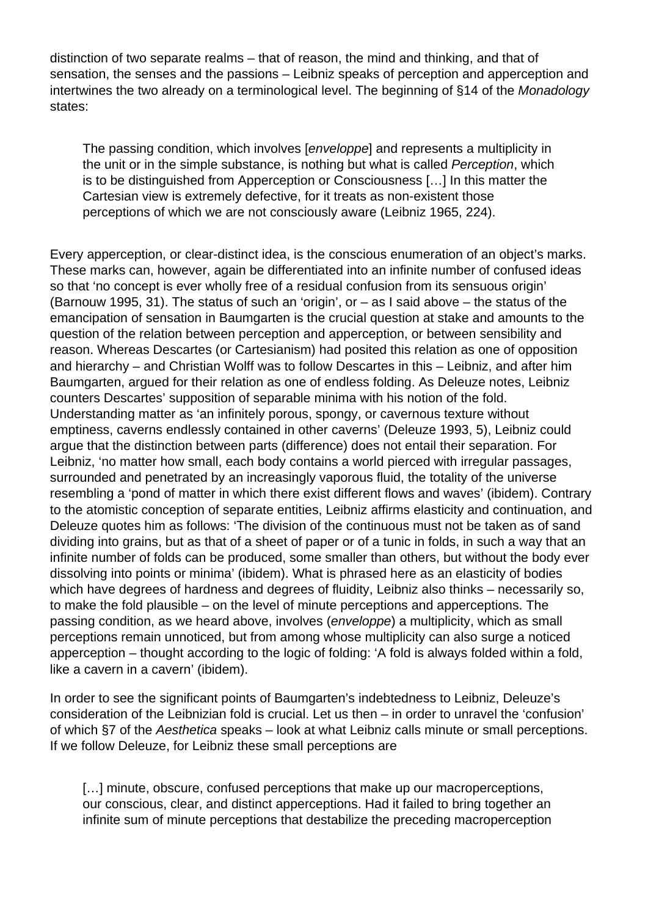distinction of two separate realms – that of reason, the mind and thinking, and that of sensation, the senses and the passions – Leibniz speaks of perception and apperception and intertwines the two already on a terminological level. The beginning of §14 of the Monadology states:

The passing condition, which involves [enveloppe] and represents a multiplicity in the unit or in the simple substance, is nothing but what is called Perception, which is to be distinguished from Apperception or Consciousness […] In this matter the Cartesian view is extremely defective, for it treats as non-existent those perceptions of which we are not consciously aware (Leibniz 1965, 224).

Every apperception, or clear-distinct idea, is the conscious enumeration of an object's marks. These marks can, however, again be differentiated into an infinite number of confused ideas so that 'no concept is ever wholly free of a residual confusion from its sensuous origin' (Barnouw 1995, 31). The status of such an 'origin', or – as I said above – the status of the emancipation of sensation in Baumgarten is the crucial question at stake and amounts to the question of the relation between perception and apperception, or between sensibility and reason. Whereas Descartes (or Cartesianism) had posited this relation as one of opposition and hierarchy – and Christian Wolff was to follow Descartes in this – Leibniz, and after him Baumgarten, argued for their relation as one of endless folding. As Deleuze notes, Leibniz counters Descartes' supposition of separable minima with his notion of the fold. Understanding matter as 'an infinitely porous, spongy, or cavernous texture without emptiness, caverns endlessly contained in other caverns' (Deleuze 1993, 5), Leibniz could argue that the distinction between parts (difference) does not entail their separation. For Leibniz, 'no matter how small, each body contains a world pierced with irregular passages, surrounded and penetrated by an increasingly vaporous fluid, the totality of the universe resembling a 'pond of matter in which there exist different flows and waves' (ibidem). Contrary to the atomistic conception of separate entities, Leibniz affirms elasticity and continuation, and Deleuze quotes him as follows: 'The division of the continuous must not be taken as of sand dividing into grains, but as that of a sheet of paper or of a tunic in folds, in such a way that an infinite number of folds can be produced, some smaller than others, but without the body ever dissolving into points or minima' (ibidem). What is phrased here as an elasticity of bodies which have degrees of hardness and degrees of fluidity, Leibniz also thinks – necessarily so, to make the fold plausible – on the level of minute perceptions and apperceptions. The passing condition, as we heard above, involves (enveloppe) a multiplicity, which as small perceptions remain unnoticed, but from among whose multiplicity can also surge a noticed apperception – thought according to the logic of folding: 'A fold is always folded within a fold, like a cavern in a cavern' (ibidem).

In order to see the significant points of Baumgarten's indebtedness to Leibniz, Deleuze's consideration of the Leibnizian fold is crucial. Let us then – in order to unravel the 'confusion' of which §7 of the Aesthetica speaks – look at what Leibniz calls minute or small perceptions. If we follow Deleuze, for Leibniz these small perceptions are

[...] minute, obscure, confused perceptions that make up our macroperceptions, our conscious, clear, and distinct apperceptions. Had it failed to bring together an infinite sum of minute perceptions that destabilize the preceding macroperception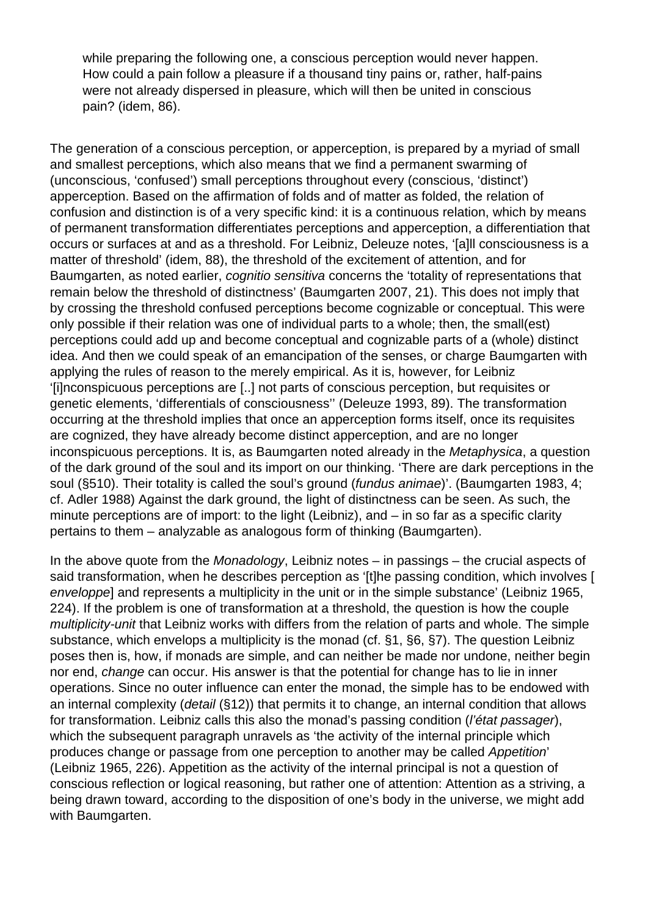while preparing the following one, a conscious perception would never happen. How could a pain follow a pleasure if a thousand tiny pains or, rather, half-pains were not already dispersed in pleasure, which will then be united in conscious pain? (idem, 86).

The generation of a conscious perception, or apperception, is prepared by a myriad of small and smallest perceptions, which also means that we find a permanent swarming of (unconscious, 'confused') small perceptions throughout every (conscious, 'distinct') apperception. Based on the affirmation of folds and of matter as folded, the relation of confusion and distinction is of a very specific kind: it is a continuous relation, which by means of permanent transformation differentiates perceptions and apperception, a differentiation that occurs or surfaces at and as a threshold. For Leibniz, Deleuze notes, '[a]ll consciousness is a matter of threshold' (idem, 88), the threshold of the excitement of attention, and for Baumgarten, as noted earlier, cognitio sensitiva concerns the 'totality of representations that remain below the threshold of distinctness' (Baumgarten 2007, 21). This does not imply that by crossing the threshold confused perceptions become cognizable or conceptual. This were only possible if their relation was one of individual parts to a whole; then, the small(est) perceptions could add up and become conceptual and cognizable parts of a (whole) distinct idea. And then we could speak of an emancipation of the senses, or charge Baumgarten with applying the rules of reason to the merely empirical. As it is, however, for Leibniz '[i]nconspicuous perceptions are [..] not parts of conscious perception, but requisites or genetic elements, 'differentials of consciousness'' (Deleuze 1993, 89). The transformation occurring at the threshold implies that once an apperception forms itself, once its requisites are cognized, they have already become distinct apperception, and are no longer inconspicuous perceptions. It is, as Baumgarten noted already in the Metaphysica, a question of the dark ground of the soul and its import on our thinking. 'There are dark perceptions in the soul (§510). Their totality is called the soul's ground (fundus animae)'. (Baumgarten 1983, 4; cf. Adler 1988) Against the dark ground, the light of distinctness can be seen. As such, the minute perceptions are of import: to the light (Leibniz), and – in so far as a specific clarity pertains to them – analyzable as analogous form of thinking (Baumgarten).

In the above quote from the Monadology, Leibniz notes – in passings – the crucial aspects of said transformation, when he describes perception as '[t]he passing condition, which involves [ enveloppe] and represents a multiplicity in the unit or in the simple substance' (Leibniz 1965, 224). If the problem is one of transformation at a threshold, the question is how the couple multiplicity-unit that Leibniz works with differs from the relation of parts and whole. The simple substance, which envelops a multiplicity is the monad (cf. §1, §6, §7). The question Leibniz poses then is, how, if monads are simple, and can neither be made nor undone, neither begin nor end, change can occur. His answer is that the potential for change has to lie in inner operations. Since no outer influence can enter the monad, the simple has to be endowed with an internal complexity (detail (§12)) that permits it to change, an internal condition that allows for transformation. Leibniz calls this also the monad's passing condition (*l'état passager*), which the subsequent paragraph unravels as 'the activity of the internal principle which produces change or passage from one perception to another may be called Appetition' (Leibniz 1965, 226). Appetition as the activity of the internal principal is not a question of conscious reflection or logical reasoning, but rather one of attention: Attention as a striving, a being drawn toward, according to the disposition of one's body in the universe, we might add with Baumgarten.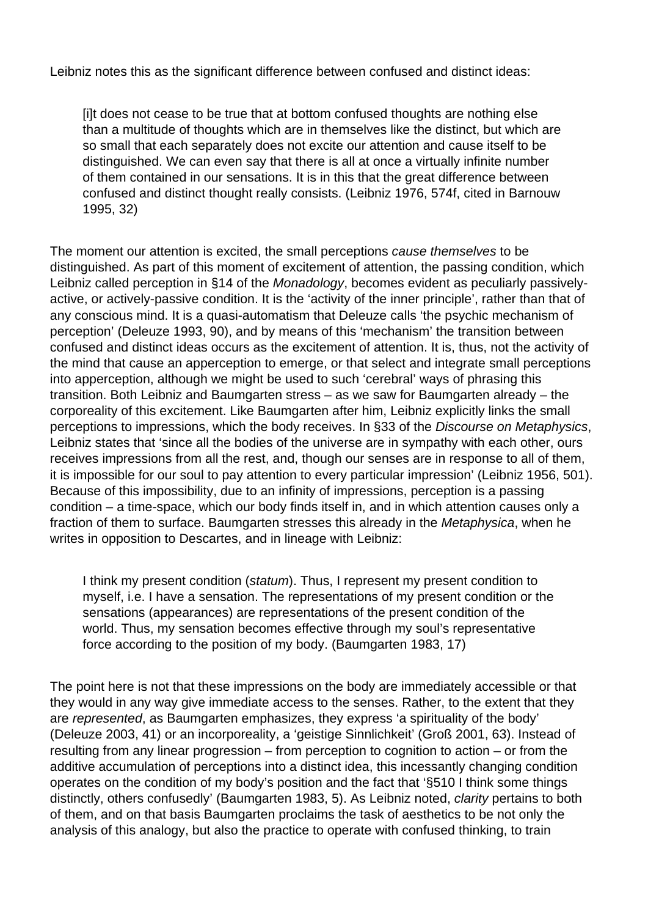Leibniz notes this as the significant difference between confused and distinct ideas:

[i]t does not cease to be true that at bottom confused thoughts are nothing else than a multitude of thoughts which are in themselves like the distinct, but which are so small that each separately does not excite our attention and cause itself to be distinguished. We can even say that there is all at once a virtually infinite number of them contained in our sensations. It is in this that the great difference between confused and distinct thought really consists. (Leibniz 1976, 574f, cited in Barnouw 1995, 32)

The moment our attention is excited, the small perceptions cause themselves to be distinguished. As part of this moment of excitement of attention, the passing condition, which Leibniz called perception in §14 of the Monadology, becomes evident as peculiarly passivelyactive, or actively-passive condition. It is the 'activity of the inner principle', rather than that of any conscious mind. It is a quasi-automatism that Deleuze calls 'the psychic mechanism of perception' (Deleuze 1993, 90), and by means of this 'mechanism' the transition between confused and distinct ideas occurs as the excitement of attention. It is, thus, not the activity of the mind that cause an apperception to emerge, or that select and integrate small perceptions into apperception, although we might be used to such 'cerebral' ways of phrasing this transition. Both Leibniz and Baumgarten stress – as we saw for Baumgarten already – the corporeality of this excitement. Like Baumgarten after him, Leibniz explicitly links the small perceptions to impressions, which the body receives. In §33 of the Discourse on Metaphysics, Leibniz states that 'since all the bodies of the universe are in sympathy with each other, ours receives impressions from all the rest, and, though our senses are in response to all of them, it is impossible for our soul to pay attention to every particular impression' (Leibniz 1956, 501). Because of this impossibility, due to an infinity of impressions, perception is a passing condition – a time-space, which our body finds itself in, and in which attention causes only a fraction of them to surface. Baumgarten stresses this already in the Metaphysica, when he writes in opposition to Descartes, and in lineage with Leibniz:

I think my present condition (statum). Thus, I represent my present condition to myself, i.e. I have a sensation. The representations of my present condition or the sensations (appearances) are representations of the present condition of the world. Thus, my sensation becomes effective through my soul's representative force according to the position of my body. (Baumgarten 1983, 17)

The point here is not that these impressions on the body are immediately accessible or that they would in any way give immediate access to the senses. Rather, to the extent that they are represented, as Baumgarten emphasizes, they express 'a spirituality of the body' (Deleuze 2003, 41) or an incorporeality, a 'geistige Sinnlichkeit' (Groß 2001, 63). Instead of resulting from any linear progression – from perception to cognition to action – or from the additive accumulation of perceptions into a distinct idea, this incessantly changing condition operates on the condition of my body's position and the fact that '§510 I think some things distinctly, others confusedly' (Baumgarten 1983, 5). As Leibniz noted, *clarity* pertains to both of them, and on that basis Baumgarten proclaims the task of aesthetics to be not only the analysis of this analogy, but also the practice to operate with confused thinking, to train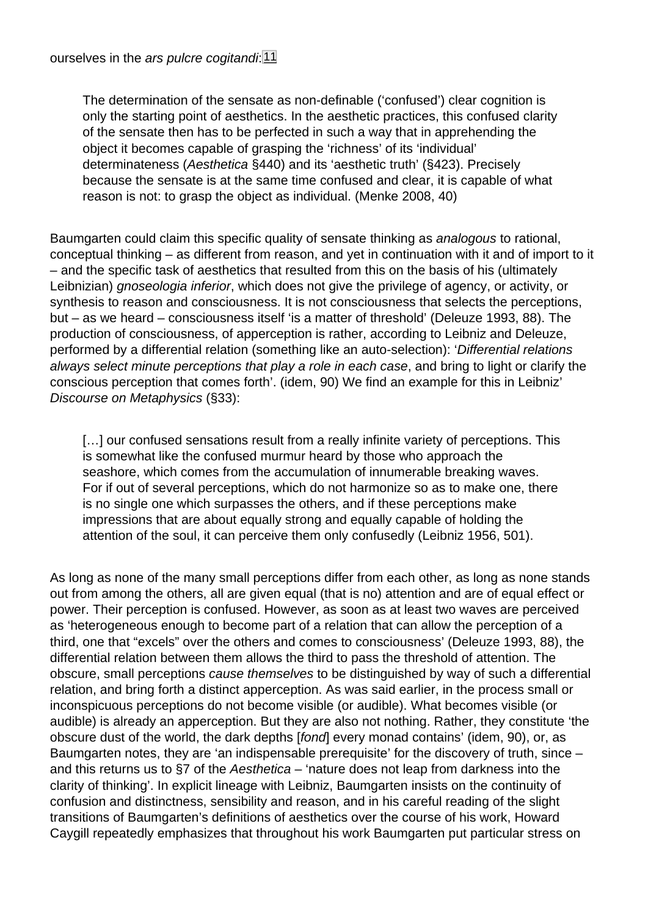The determination of the sensate as non-definable ('confused') clear cognition is only the starting point of aesthetics. In the aesthetic practices, this confused clarity of the sensate then has to be perfected in such a way that in apprehending the object it becomes capable of grasping the 'richness' of its 'individual' determinateness (Aesthetica §440) and its 'aesthetic truth' (§423). Precisely because the sensate is at the same time confused and clear, it is capable of what reason is not: to grasp the object as individual. (Menke 2008, 40)

Baumgarten could claim this specific quality of sensate thinking as analogous to rational, conceptual thinking – as different from reason, and yet in continuation with it and of import to it – and the specific task of aesthetics that resulted from this on the basis of his (ultimately Leibnizian) gnoseologia inferior, which does not give the privilege of agency, or activity, or synthesis to reason and consciousness. It is not consciousness that selects the perceptions, but – as we heard – consciousness itself 'is a matter of threshold' (Deleuze 1993, 88). The production of consciousness, of apperception is rather, according to Leibniz and Deleuze, performed by a differential relation (something like an auto-selection): 'Differential relations always select minute perceptions that play a role in each case, and bring to light or clarify the conscious perception that comes forth'. (idem, 90) We find an example for this in Leibniz' Discourse on Metaphysics (§33):

[...] our confused sensations result from a really infinite variety of perceptions. This is somewhat like the confused murmur heard by those who approach the seashore, which comes from the accumulation of innumerable breaking waves. For if out of several perceptions, which do not harmonize so as to make one, there is no single one which surpasses the others, and if these perceptions make impressions that are about equally strong and equally capable of holding the attention of the soul, it can perceive them only confusedly (Leibniz 1956, 501).

As long as none of the many small perceptions differ from each other, as long as none stands out from among the others, all are given equal (that is no) attention and are of equal effect or power. Their perception is confused. However, as soon as at least two waves are perceived as 'heterogeneous enough to become part of a relation that can allow the perception of a third, one that "excels" over the others and comes to consciousness' (Deleuze 1993, 88), the differential relation between them allows the third to pass the threshold of attention. The obscure, small perceptions cause themselves to be distinguished by way of such a differential relation, and bring forth a distinct apperception. As was said earlier, in the process small or inconspicuous perceptions do not become visible (or audible). What becomes visible (or audible) is already an apperception. But they are also not nothing. Rather, they constitute 'the obscure dust of the world, the dark depths [fond] every monad contains' (idem, 90), or, as Baumgarten notes, they are 'an indispensable prerequisite' for the discovery of truth, since – and this returns us to §7 of the Aesthetica – 'nature does not leap from darkness into the clarity of thinking'. In explicit lineage with Leibniz, Baumgarten insists on the continuity of confusion and distinctness, sensibility and reason, and in his careful reading of the slight transitions of Baumgarten's definitions of aesthetics over the course of his work, Howard Caygill repeatedly emphasizes that throughout his work Baumgarten put particular stress on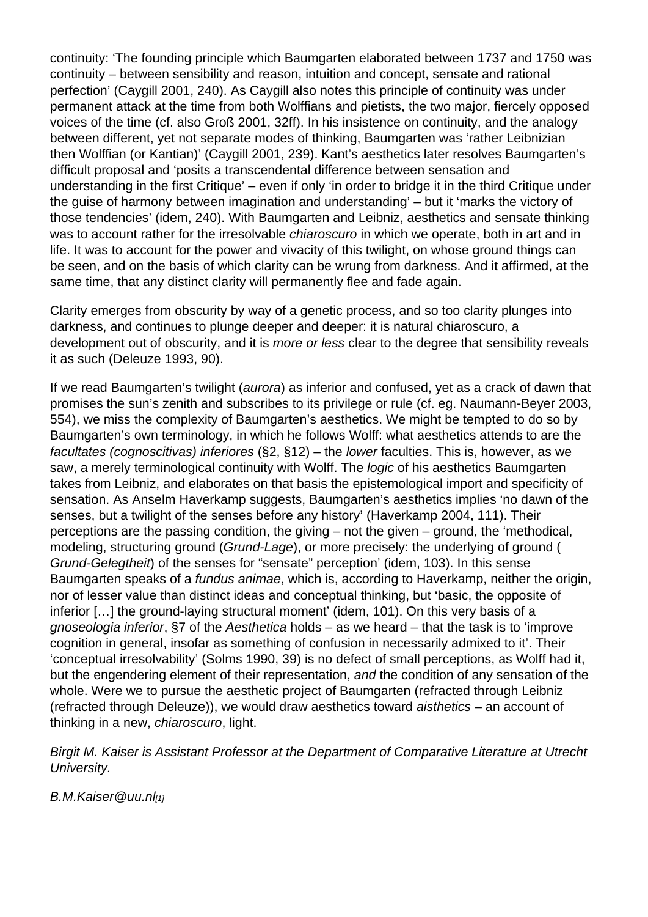continuity: 'The founding principle which Baumgarten elaborated between 1737 and 1750 was continuity – between sensibility and reason, intuition and concept, sensate and rational perfection' (Caygill 2001, 240). As Caygill also notes this principle of continuity was under permanent attack at the time from both Wolffians and pietists, the two major, fiercely opposed voices of the time (cf. also Groß 2001, 32ff). In his insistence on continuity, and the analogy between different, yet not separate modes of thinking, Baumgarten was 'rather Leibnizian then Wolffian (or Kantian)' (Caygill 2001, 239). Kant's aesthetics later resolves Baumgarten's difficult proposal and 'posits a transcendental difference between sensation and understanding in the first Critique' – even if only 'in order to bridge it in the third Critique under the guise of harmony between imagination and understanding' – but it 'marks the victory of those tendencies' (idem, 240). With Baumgarten and Leibniz, aesthetics and sensate thinking was to account rather for the irresolvable chiaroscuro in which we operate, both in art and in life. It was to account for the power and vivacity of this twilight, on whose ground things can be seen, and on the basis of which clarity can be wrung from darkness. And it affirmed, at the same time, that any distinct clarity will permanently flee and fade again.

Clarity emerges from obscurity by way of a genetic process, and so too clarity plunges into darkness, and continues to plunge deeper and deeper: it is natural chiaroscuro, a development out of obscurity, and it is more or less clear to the degree that sensibility reveals it as such (Deleuze 1993, 90).

If we read Baumgarten's twilight (aurora) as inferior and confused, yet as a crack of dawn that promises the sun's zenith and subscribes to its privilege or rule (cf. eg. Naumann-Beyer 2003, 554), we miss the complexity of Baumgarten's aesthetics. We might be tempted to do so by Baumgarten's own terminology, in which he follows Wolff: what aesthetics attends to are the facultates (cognoscitivas) inferiores (§2, §12) – the lower faculties. This is, however, as we saw, a merely terminological continuity with Wolff. The logic of his aesthetics Baumgarten takes from Leibniz, and elaborates on that basis the epistemological import and specificity of sensation. As Anselm Haverkamp suggests, Baumgarten's aesthetics implies 'no dawn of the senses, but a twilight of the senses before any history' (Haverkamp 2004, 111). Their perceptions are the passing condition, the giving – not the given – ground, the 'methodical, modeling, structuring ground (Grund-Lage), or more precisely: the underlying of ground ( Grund-Gelegtheit) of the senses for "sensate" perception' (idem, 103). In this sense Baumgarten speaks of a fundus animae, which is, according to Haverkamp, neither the origin, nor of lesser value than distinct ideas and conceptual thinking, but 'basic, the opposite of inferior […] the ground-laying structural moment' (idem, 101). On this very basis of a gnoseologia inferior, §7 of the Aesthetica holds – as we heard – that the task is to 'improve cognition in general, insofar as something of confusion in necessarily admixed to it'. Their 'conceptual irresolvability' (Solms 1990, 39) is no defect of small perceptions, as Wolff had it, but the engendering element of their representation, and the condition of any sensation of the whole. Were we to pursue the aesthetic project of Baumgarten (refracted through Leibniz (refracted through Deleuze)), we would draw aesthetics toward aisthetics – an account of thinking in a new, chiaroscuro, light.

Birgit M. Kaiser is Assistant Professor at the Department of Comparative Literature at Utrecht University.

B.M.Kaiser@uu.nl[1]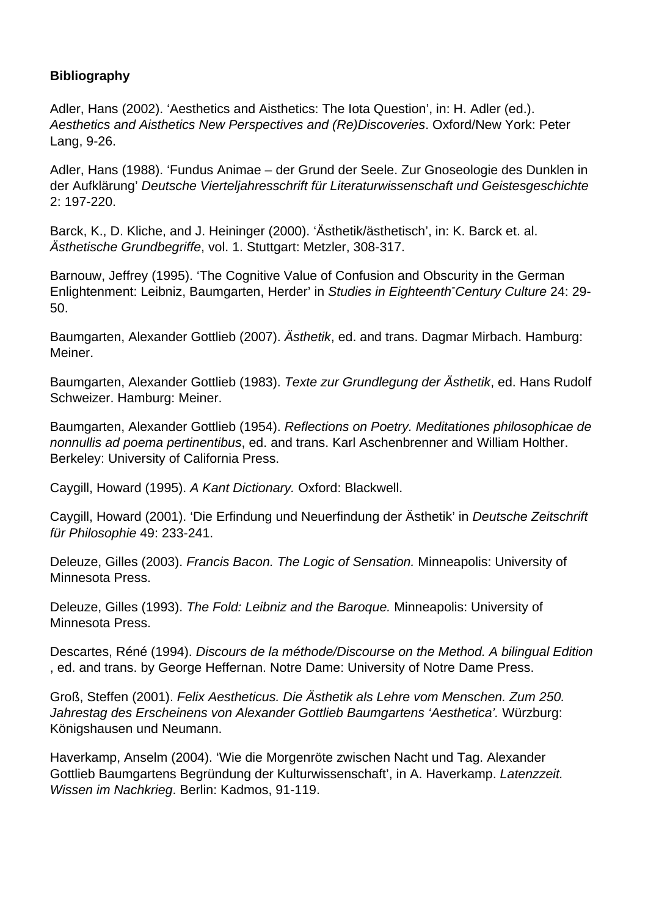## **Bibliography**

Adler, Hans (2002). 'Aesthetics and Aisthetics: The Iota Question', in: H. Adler (ed.). Aesthetics and Aisthetics New Perspectives and (Re)Discoveries. Oxford/New York: Peter Lang, 9-26.

Adler, Hans (1988). 'Fundus Animae – der Grund der Seele. Zur Gnoseologie des Dunklen in der Aufklärung' Deutsche Vierteljahresschrift für Literaturwissenschaft und Geistesgeschichte 2: 197-220.

Barck, K., D. Kliche, and J. Heininger (2000). 'Ästhetik/ästhetisch', in: K. Barck et. al. Ästhetische Grundbegriffe, vol. 1. Stuttgart: Metzler, 308-317.

Barnouw, Jeffrey (1995). 'The Cognitive Value of Confusion and Obscurity in the German Enlightenment: Leibniz, Baumgarten, Herder' in Studies in Eighteenth<sup>-</sup>Century Culture 24: 29-50.

Baumgarten, Alexander Gottlieb (2007). Ästhetik, ed. and trans. Dagmar Mirbach. Hamburg: Meiner.

Baumgarten, Alexander Gottlieb (1983). Texte zur Grundlegung der Ästhetik, ed. Hans Rudolf Schweizer. Hamburg: Meiner.

Baumgarten, Alexander Gottlieb (1954). Reflections on Poetry. Meditationes philosophicae de nonnullis ad poema pertinentibus, ed. and trans. Karl Aschenbrenner and William Holther. Berkeley: University of California Press.

Caygill, Howard (1995). A Kant Dictionary. Oxford: Blackwell.

Caygill, Howard (2001). 'Die Erfindung und Neuerfindung der Ästhetik' in Deutsche Zeitschrift für Philosophie 49: 233-241.

Deleuze, Gilles (2003). Francis Bacon. The Logic of Sensation. Minneapolis: University of Minnesota Press.

Deleuze, Gilles (1993). The Fold: Leibniz and the Baroque. Minneapolis: University of Minnesota Press.

Descartes, Réné (1994). Discours de la méthode/Discourse on the Method. A bilingual Edition , ed. and trans. by George Heffernan. Notre Dame: University of Notre Dame Press.

Groß, Steffen (2001). Felix Aestheticus. Die Ästhetik als Lehre vom Menschen. Zum 250. Jahrestag des Erscheinens von Alexander Gottlieb Baumgartens 'Aesthetica'. Würzburg: Königshausen und Neumann.

Haverkamp, Anselm (2004). 'Wie die Morgenröte zwischen Nacht und Tag. Alexander Gottlieb Baumgartens Begründung der Kulturwissenschaft', in A. Haverkamp. Latenzzeit. Wissen im Nachkrieg. Berlin: Kadmos, 91-119.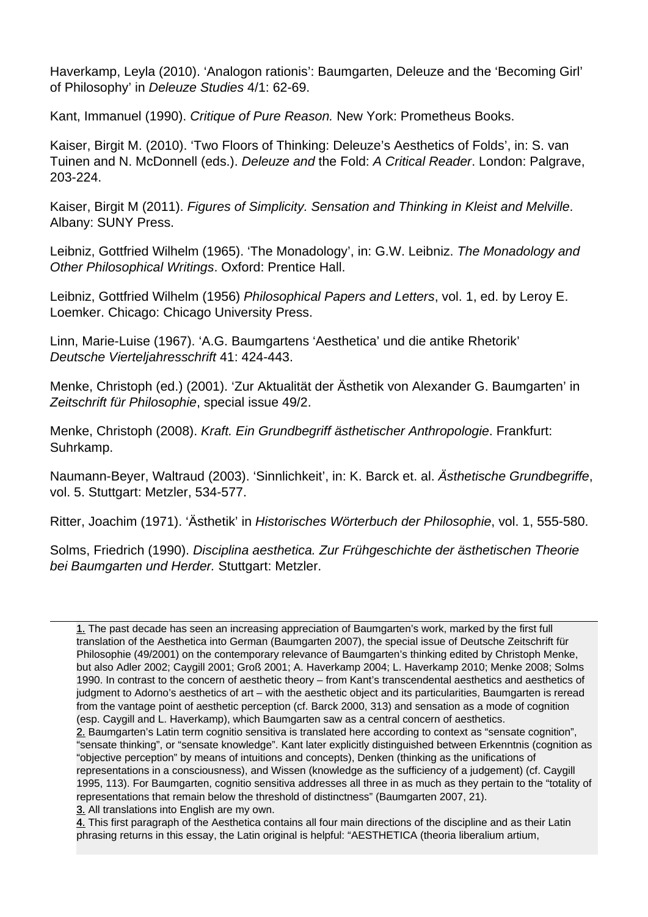Haverkamp, Leyla (2010). 'Analogon rationis': Baumgarten, Deleuze and the 'Becoming Girl' of Philosophy' in Deleuze Studies 4/1: 62-69.

Kant, Immanuel (1990). Critique of Pure Reason. New York: Prometheus Books.

Kaiser, Birgit M. (2010). 'Two Floors of Thinking: Deleuze's Aesthetics of Folds', in: S. van Tuinen and N. McDonnell (eds.). Deleuze and the Fold: A Critical Reader. London: Palgrave, 203-224.

Kaiser, Birgit M (2011). Figures of Simplicity. Sensation and Thinking in Kleist and Melville. Albany: SUNY Press.

Leibniz, Gottfried Wilhelm (1965). 'The Monadology', in: G.W. Leibniz. The Monadology and Other Philosophical Writings. Oxford: Prentice Hall.

Leibniz, Gottfried Wilhelm (1956) Philosophical Papers and Letters, vol. 1, ed. by Leroy E. Loemker. Chicago: Chicago University Press.

Linn, Marie-Luise (1967). 'A.G. Baumgartens 'Aesthetica' und die antike Rhetorik' Deutsche Vierteljahresschrift 41: 424-443.

Menke, Christoph (ed.) (2001). 'Zur Aktualität der Ästhetik von Alexander G. Baumgarten' in Zeitschrift für Philosophie, special issue 49/2.

Menke, Christoph (2008). Kraft. Ein Grundbegriff ästhetischer Anthropologie. Frankfurt: Suhrkamp.

Naumann-Beyer, Waltraud (2003). 'Sinnlichkeit', in: K. Barck et. al. Ästhetische Grundbegriffe, vol. 5. Stuttgart: Metzler, 534-577.

Ritter, Joachim (1971). 'Ästhetik' in Historisches Wörterbuch der Philosophie, vol. 1, 555-580.

Solms, Friedrich (1990). Disciplina aesthetica. Zur Frühgeschichte der ästhetischen Theorie bei Baumgarten und Herder. Stuttgart: Metzler.

1. The past decade has seen an increasing appreciation of Baumgarten's work, marked by the first full translation of the Aesthetica into German (Baumgarten 2007), the special issue of Deutsche Zeitschrift für Philosophie (49/2001) on the contemporary relevance of Baumgarten's thinking edited by Christoph Menke, but also Adler 2002; Caygill 2001; Groß 2001; A. Haverkamp 2004; L. Haverkamp 2010; Menke 2008; Solms [19](#page-0-0)90. In contrast to the concern of aesthetic theory – from Kant's transcendental aesthetics and aesthetics of judgment to Adorno's aesthetics of art – with the aesthetic object and its particularities, Baumgarten is reread from the vantage point of aesthetic perception (cf. Barck 2000, 313) and sensation as a mode of cognition (esp. Caygill and L. Haverkamp), which Baumgarten saw as a central concern of aesthetics.

3. All translations into English are my own. 3.

4. This first paragraph of the Aesthetica contains all four main directions of the discipline and as their Latin phrasing returns in this essay, the Latin original is helpful: "AESTHETICA (theoria liberalium artium,

<sup>2.</sup> Baumgarten's Latin term cognitio sensitiva is translated here according to context as "sensate cognition", "sensate thinking", or "sensate knowledge". Kant later explicitly distinguished between Erkenntnis (cognition as "objective perception" by means of intuitions and concepts), Denken (thinking as the unifications of representations in a consciousness), and Wissen (knowledge as the sufficiency of a judgement) (cf. Caygill [19](#page-0-0)95, 113). For Baumgarten, cognitio sensitiva addresses all three in as much as they pertain to the "totality of representations that remain below the threshold of distinctness" (Baumgarten 2007, 21).